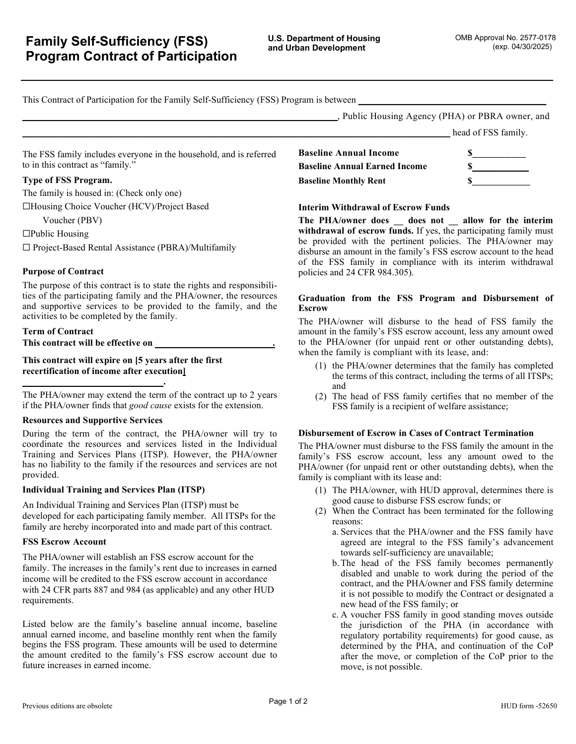head of FSS family.

This Contract of Participation for the Family Self-Sufficiency (FSS) Program is between

**\_\_\_\_\_\_\_\_\_\_\_\_\_\_\_\_\_\_\_\_\_\_\_\_\_\_\_\_\_\_\_\_\_\_\_\_\_\_\_\_\_\_\_\_\_\_\_\_\_\_\_\_\_\_\_\_\_\_\_\_\_\_\_\_\_\_\_**, Public Housing Agency (PHA) or PBRA owner, and

The FSS family includes everyone in the household, and is referred to in this contract as "family."

## **Type of FSS Program.**

The family is housed in: (Check only one)

☐Housing Choice Voucher (HCV)/Project Based

Voucher (PBV)

☐Public Housing

☐ Project-Based Rental Assistance (PBRA)/Multifamily

## **Purpose of Contract**

The purpose of this contract is to state the rights and responsibilities of the participating family and the PHA/owner, the resources and supportive services to be provided to the family, and the activities to be completed by the family.

**Term of Contract This contract will be effective on \_\_\_\_\_\_\_\_\_\_\_\_\_\_\_\_\_\_\_\_\_\_\_\_\_.** 

**\_\_\_\_\_\_\_\_\_\_\_\_\_\_\_\_\_\_\_\_\_\_\_\_\_\_\_\_\_\_.** 

**This contract will expire on [5 years after the first recertification of income after execution]** 

The PHA/owner may extend the term of the contract up to 2 years if the PHA/owner finds that *good cause* exists for the extension.

## **Resources and Supportive Services**

During the term of the contract, the PHA/owner will try to coordinate the resources and services listed in the Individual Training and Services Plans (ITSP). However, the PHA/owner has no liability to the family if the resources and services are not provided.

## **Individual Training and Services Plan (ITSP)**

An Individual Training and Services Plan (ITSP) must be developed for each participating family member. All ITSPs for the family are hereby incorporated into and made part of this contract.

#### **FSS Escrow Account**

The PHA/owner will establish an FSS escrow account for the family. The increases in the family's rent due to increases in earned income will be credited to the FSS escrow account in accordance with 24 CFR parts 887 and 984 (as applicable) and any other HUD requirements.

Listed below are the family's baseline annual income, baseline annual earned income, and baseline monthly rent when the family begins the FSS program. These amounts will be used to determine the amount credited to the family's FSS escrow account due to future increases in earned income.

|                                      | $m$ and $n \sim 1$ bb $m$ . |  |
|--------------------------------------|-----------------------------|--|
| <b>Baseline Annual Income</b>        |                             |  |
| <b>Baseline Annual Earned Income</b> |                             |  |
| <b>Baseline Monthly Rent</b>         |                             |  |

#### **Interim Withdrawal of Escrow Funds**

**The PHA/owner does \_\_ does not \_\_ allow for the interim withdrawal of escrow funds.** If yes, the participating family must be provided with the pertinent policies. The PHA/owner may disburse an amount in the family's FSS escrow account to the head of the FSS family in compliance with its interim withdrawal policies and 24 CFR 984.305).

## **Graduation from the FSS Program and Disbursement of Escrow**

The PHA/owner will disburse to the head of FSS family the amount in the family's FSS escrow account, less any amount owed to the PHA/owner (for unpaid rent or other outstanding debts), when the family is compliant with its lease, and:

- (1) the PHA/owner determines that the family has completed the terms of this contract, including the terms of all ITSPs; and
- (2) The head of FSS family certifies that no member of the FSS family is a recipient of welfare assistance;

## **Disbursement of Escrow in Cases of Contract Termination**

The PHA/owner must disburse to the FSS family the amount in the family's FSS escrow account, less any amount owed to the PHA/owner (for unpaid rent or other outstanding debts), when the family is compliant with its lease and:

- (1) The PHA/owner, with HUD approval, determines there is good cause to disburse FSS escrow funds; or
- (2) When the Contract has been terminated for the following reasons:
	- a. Services that the PHA/owner and the FSS family have agreed are integral to the FSS family's advancement towards self-sufficiency are unavailable;
	- b.The head of the FSS family becomes permanently disabled and unable to work during the period of the contract, and the PHA/owner and FSS family determine it is not possible to modify the Contract or designated a new head of the FSS family; or
	- c. A voucher FSS family in good standing moves outside the jurisdiction of the PHA (in accordance with regulatory portability requirements) for good cause, as determined by the PHA, and continuation of the CoP after the move, or completion of the CoP prior to the move, is not possible.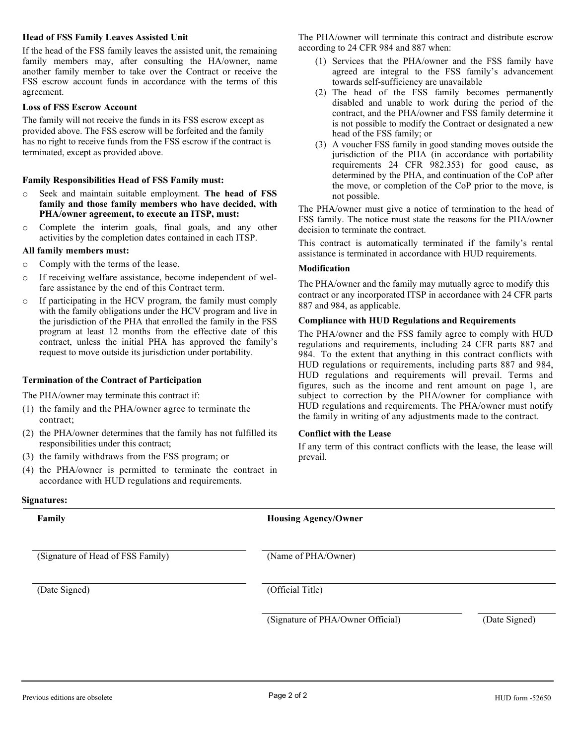#### **Head of FSS Family Leaves Assisted Unit**

If the head of the FSS family leaves the assisted unit, the remaining family members may, after consulting the HA/owner, name another family member to take over the Contract or receive the FSS escrow account funds in accordance with the terms of this agreement.

#### **Loss of FSS Escrow Account**

The family will not receive the funds in its FSS escrow except as provided above. The FSS escrow will be forfeited and the family has no right to receive funds from the FSS escrow if the contract is terminated, except as provided above.

#### **Family Responsibilities Head of FSS Family must:**

- o Seek and maintain suitable employment. **The head of FSS family and those family members who have decided, with PHA/owner agreement, to execute an ITSP, must:**
- Complete the interim goals, final goals, and any other activities by the completion dates contained in each ITSP.

#### **All family members must:**

- o Comply with the terms of the lease.
- o If receiving welfare assistance, become independent of welfare assistance by the end of this Contract term.
- o If participating in the HCV program, the family must comply with the family obligations under the HCV program and live in the jurisdiction of the PHA that enrolled the family in the FSS program at least 12 months from the effective date of this contract, unless the initial PHA has approved the family's request to move outside its jurisdiction under portability.

#### **Termination of the Contract of Participation**

The PHA/owner may terminate this contract if:

- (1) the family and the PHA/owner agree to terminate the contract;
- (2) the PHA/owner determines that the family has not fulfilled its responsibilities under this contract;
- (3) the family withdraws from the FSS program; or
- (4) the PHA/owner is permitted to terminate the contract in accordance with HUD regulations and requirements.

The PHA/owner will terminate this contract and distribute escrow according to 24 CFR 984 and 887 when:

- (1) Services that the PHA/owner and the FSS family have agreed are integral to the FSS family's advancement towards self-sufficiency are unavailable
- (2) The head of the FSS family becomes permanently disabled and unable to work during the period of the contract, and the PHA/owner and FSS family determine it is not possible to modify the Contract or designated a new head of the FSS family; or
- (3) A voucher FSS family in good standing moves outside the jurisdiction of the PHA (in accordance with portability requirements 24 CFR 982.353) for good cause, as determined by the PHA, and continuation of the CoP after the move, or completion of the CoP prior to the move, is not possible.

The PHA/owner must give a notice of termination to the head of FSS family. The notice must state the reasons for the PHA/owner decision to terminate the contract.

This contract is automatically terminated if the family's rental assistance is terminated in accordance with HUD requirements.

## **Modification**

The PHA/owner and the family may mutually agree to modify this contract or any incorporated ITSP in accordance with 24 CFR parts 887 and 984, as applicable.

#### **Compliance with HUD Regulations and Requirements**

The PHA/owner and the FSS family agree to comply with HUD regulations and requirements, including 24 CFR parts 887 and 984. To the extent that anything in this contract conflicts with HUD regulations or requirements, including parts 887 and 984, HUD regulations and requirements will prevail. Terms and figures, such as the income and rent amount on page 1, are subject to correction by the PHA/owner for compliance with HUD regulations and requirements. The PHA/owner must notify the family in writing of any adjustments made to the contract.

#### **Conflict with the Lease**

If any term of this contract conflicts with the lease, the lease will prevail.

#### **Signatures:**

| Family                            | <b>Housing Agency/Owner</b>       |               |
|-----------------------------------|-----------------------------------|---------------|
| (Signature of Head of FSS Family) | (Name of PHA/Owner)               |               |
| (Date Signed)                     | (Official Title)                  |               |
|                                   | (Signature of PHA/Owner Official) | (Date Signed) |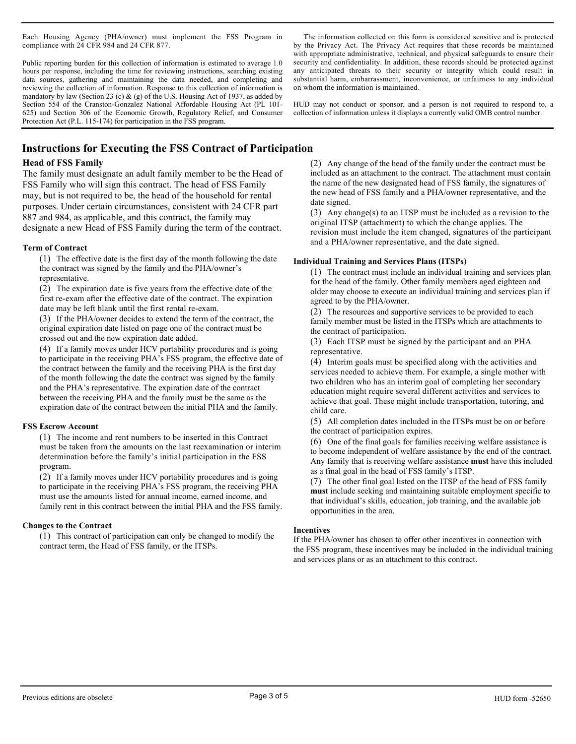Each Housing Agency (PHA/owner) must implement the FSS Program in compliance with 24 CFR 984 and 24 CFR 877.

Public reporting burden for this collection of information is estimated to average 1.0 hours per response, including the time for reviewing instructions, searching existing data sources, gathering and maintaining the data needed, and completing and reviewing the collection of information. Response to this collection of information is mandatory by law (Section 23 (c) & (g) of the U.S. Housing Act of 1937, as added by Section 554 of the Cranston-Gonzalez National Affordable Housing Act (PL 101- 625) and Section 306 of the Economic Growth, Regulatory Relief, and Consumer Protection Act (P.L. 115-174) for participation in the FSS program.

The information collected on this form is considered sensitive and is protected by the Privacy Act. The Privacy Act requires that these records be maintained with appropriate administrative, technical, and physical safeguards to ensure their security and confidentiality. In addition, these records should be protected against any anticipated threats to their security or integrity which could result in substantial harm, embarrassment, inconvenience, or unfairness to any individual on whom the information is maintained.

HUD may not conduct or sponsor, and a person is not required to respond to, a collection of information unless it displays a currently valid OMB control number.

# **Instructions for Executing the FSS Contract of Participation**

## **Head of FSS Family**

The family must designate an adult family member to be the Head of FSS Family who will sign this contract. The head of FSS Family may, but is not required to be, the head of the household for rental purposes. Under certain circumstances, consistent with 24 CFR part 887 and 984, as applicable, and this contract, the family may designate a new Head of FSS Family during the term of the contract.

## **Term of Contract**

(1) The effective date is the first day of the month following the date the contract was signed by the family and the PHA/owner's representative.

(2) The expiration date is five years from the effective date of the first re-exam after the effective date of the contract. The expiration date may be left blank until the first rental re-exam.

(3) If the PHA/owner decides to extend the term of the contract, the original expiration date listed on page one of the contract must be crossed out and the new expiration date added.

(4) If a family moves under HCV portability procedures and is going to participate in the receiving PHA's FSS program, the effective date of the contract between the family and the receiving PHA is the first day of the month following the date the contract was signed by the family and the PHA's representative. The expiration date of the contract between the receiving PHA and the family must be the same as the expiration date of the contract between the initial PHA and the family.

## **FSS Escrow Account**

(1) The income and rent numbers to be inserted in this Contract must be taken from the amounts on the last reexamination or interim determination before the family's initial participation in the FSS program.

(2) If a family moves under HCV portability procedures and is going to participate in the receiving PHA's FSS program, the receiving PHA must use the amounts listed for annual income, earned income, and family rent in this contract between the initial PHA and the FSS family.

## **Changes to the Contract**

(1) This contract of participation can only be changed to modify the contract term, the Head of FSS family, or the ITSPs.

(2) Any change of the head of the family under the contract must be included as an attachment to the contract. The attachment must contain the name of the new designated head of FSS family, the signatures of the new head of FSS family and a PHA/owner representative, and the date signed.

(3) Any change(s) to an ITSP must be included as a revision to the original ITSP (attachment) to which the change applies. The revision must include the item changed, signatures of the participant and a PHA/owner representative, and the date signed.

## **Individual Training and Services Plans (ITSPs)**

(1) The contract must include an individual training and services plan for the head of the family. Other family members aged eighteen and older may choose to execute an individual training and services plan if agreed to by the PHA/owner.

(2) The resources and supportive services to be provided to each family member must be listed in the ITSPs which are attachments to the contract of participation.

(3) Each ITSP must be signed by the participant and an PHA representative.

(4) Interim goals must be specified along with the activities and services needed to achieve them. For example, a single mother with two children who has an interim goal of completing her secondary education might require several different activities and services to achieve that goal. These might include transportation, tutoring, and child care.

(5) All completion dates included in the ITSPs must be on or before the contract of participation expires.

(6) One of the final goals for families receiving welfare assistance is to become independent of welfare assistance by the end of the contract. Any family that is receiving welfare assistance **must** have this included as a final goal in the head of FSS family's ITSP.

(7) The other final goal listed on the ITSP of the head of FSS family **must** include seeking and maintaining suitable employment specific to that individual's skills, education, job training, and the available job opportunities in the area.

#### **Incentives**

If the PHA/owner has chosen to offer other incentives in connection with the FSS program, these incentives may be included in the individual training and services plans or as an attachment to this contract.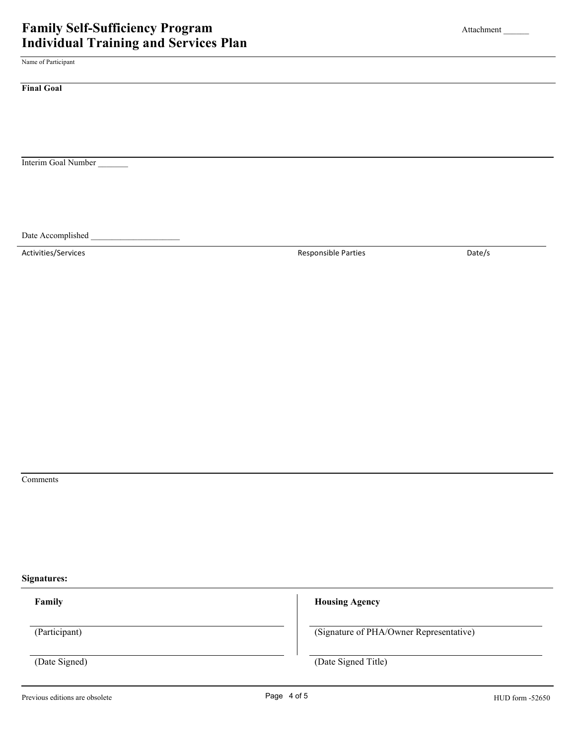Name of Participant

**Final Goal** 

Interim Goal Number \_\_\_\_\_\_\_

Date Accomplished

Activities/Services **Contains a Container Activities** Date/s Date/s

Comments

**Signatures:**

**Family Housing Agency** 

(Participant) (Signature of PHA/Owner Representative)

(Date Signed) (Date Signed Title)